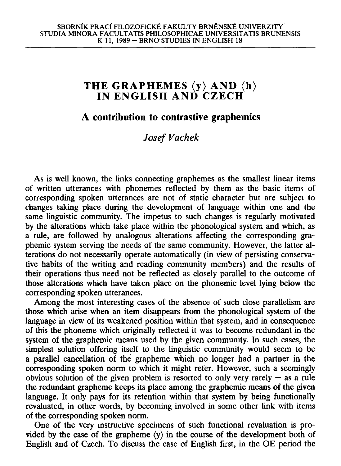# **T H E GRAPHEMES <y> AN D <h) IN ENGLISH AND CZEC H**

### **A contribution to contrastive graphemics**

## *Josef Vachek*

As is well known, the links connecting graphemes as the smallest linear items of written utterances with phonemes reflected by them as the basic items of corresponding spoken utterances are not of static character but are subject to changes taking place during the development of language within one and the same linguistic community. The impetus to such changes is regularly motivated by the alterations which take place within the phonological system and which, as a rule, are followed by analogous alterations affecting the corresponding graphemic system serving the needs of the same community. However, the latter alterations do not necessarily operate automatically (in view of persisting conservative habits of the writing and reading community members) and the results of their operations thus need not be reflected as closely parallel to the outcome of those alterations which have taken place on the phonemic level lying below the corresponding spoken utterances.

Among the most interesting cases of the absence of such close parallelism are those which arise when an item disappears from the phonological system of the language in view of its weakened position within that system, and in consequence of this the phoneme which originally reflected it was to become redundant in the system of the graphemic means used by the given community. In such cases, the simplest solution offering itself to the linguistic community would seem to be a parallel cancellation of the grapheme which no longer had a partner in the corresponding spoken norm to which it might refer. However, such a seemingly obvious solution of the given problem is resorted to only very rarely  $-$  as a rule the redundant grapheme keeps its place among the graphemic means of the given language. It only pays for its retention within that system by being functionally revaluated, in other words, by becoming involved in some other link with items of the corresponding spoken norm.

One of the very instructive specimens of such functional revaluation is provided by the case of the grapheme  $\langle y \rangle$  in the course of the development both of English and of Czech. To discuss the case of English first, in the OE period the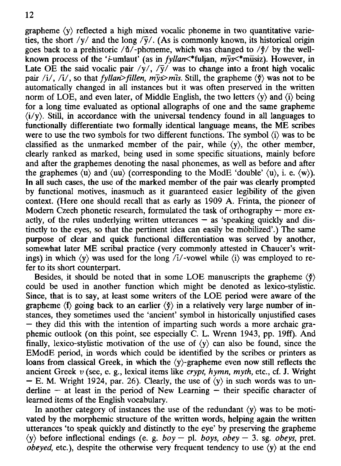grapheme  $\langle y \rangle$  reflected a high mixed vocalic phoneme in two quantitative varieties, the short /y/ and the long / $\overline{y}$ /. (As is commonly known, its historical origin goes back to a prehistoric / $d$ /-phoneme, which was changed to / $\dot{\gamma}$ / by the wellknown process of the '*i*-umlaut' (as in *fyllan* <\*\* fuljan,  $m\bar{y}s$  <\*\* musiz). However, in Late OE the said vocalic pair  $/\gamma$ ,  $/\overline{\gamma}$  was to change into a front high vocalic pair /i/, /i/, so that *fyllan*>*fillen, mys>mis.* Still, the grapheme  $\langle \phi \rangle$  was not to be automatically changed in all instances but it was often preserved in the written norm of LOE, and even later, of Middle English, the two letters  $\langle y \rangle$  and  $\langle i \rangle$  being for a long time evaluated as optional allographs of one and the same grapheme  $\langle i/v \rangle$ . Still, in accordance with the universal tendency found in all languages to functionally differentiate two formally identical language means, the ME scribes were to use the two symbols for two different functions. The symbol  $\langle i \rangle$  was to be classified as the unmarked member of the pair, while  $\langle y \rangle$ , the other member, clearly ranked as marked, being used in some specific situations, mainly before and after the graphemes denoting the nasal phonemes, as well as before and after the graphemes  $\langle u \rangle$  and  $\langle uu \rangle$  (corresponding to the ModE 'double'  $\langle u \rangle$ , i. e.  $\langle w \rangle$ ). In all such cases, the use of the marked member of the pair was clearly prompted by functional motives, inasmuch as it guaranteed easier legibility of the given context. (Here one should recall that as early as 1909 A. Frinta, the pioneer of Modern Czech phonetic research, formulated the task of orthography – more exactly, of the rules underlying written utterances — as 'speaking quickly and distinctly to the eyes, so that the pertinent idea can easily be mobilized'.) The same purpose of clear and quick functional differentiation was served by another, somewhat later ME scribal practice (very commonly attested in Chaucer's writings) in which  $\langle y \rangle$  was used for the long  $\langle i \rangle$ -vowel while  $\langle i \rangle$  was employed to refer to its short counterpart.

Besides, it should be noted that in some LOE manuscripts the grapheme  $\langle \phi \rangle$ could be used in another function which might be denoted as lexico-stylistic. Since, that is to say, at least some writers of the LOE period were aware of the grapheme  $\langle \mathbf{f} \rangle$  going back to an earlier  $\langle \mathbf{f} \rangle$  in a relatively very large number of instances, they sometimes used the 'ancient' symbol in historically unjustified cases — they did this with the intention of imparting such words a more archaic graphemic outlook (on this point, see especially C. L. Wrenn 1943, pp. 19ff). And finally, lexico-stylistic motivation of the use of (y) can also be found, since the EModE period, in words which could be identified by the scribes or printers as loans from classical Greek, in which the (y)-grapheme even now still reflects the ancient Greek *v* (see, e. g., lexical items like *crypt, hymn, myth,* etc., cf. J. Wright - E. M. Wright 1924, par. 26). Clearly, the use of  $\langle y \rangle$  in such words was to underline  $-$  at least in the period of New Learning  $-$  their specific character of learned items of the English vocabulary.

In another category of instances the use of the redundant  $\langle y \rangle$  was to be motivated by the morphemic structure of the written words, helping again the written utterances 'to speak quickly and distinctly to the eye' by preserving the grapheme (y) before inflectional endings (e. g. *boy —* pi. *boys, obey —* 3. sg. *obeys,* pret. *obeyed,* etc.), despite the otherwise very frequent tendency to use (y) at the end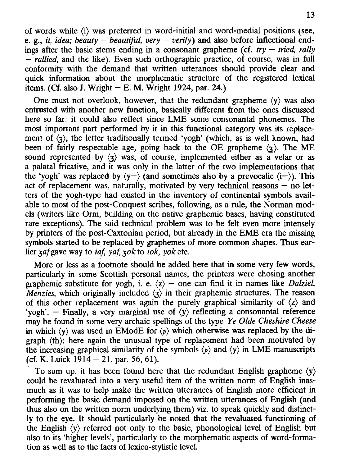of words while  $\langle i \rangle$  was preferred in word-initial and word-medial positions (see, e. g., *it, idea; beauty – beautiful, very – verily*) and also before inflectional endings after the basic stems ending in a consonant grapheme (cf. *try — tried, rally — rallied,* and the like). Even such orthographic practice, of course, was in full conformity with the demand that written utterances should provide clear and quick information about the morphematic structure of the registered lexical items. (Cf. also J. Wright  $- E$ . M. Wright 1924, par. 24.)

One must not overlook, however, that the redundant grapheme  $\langle y \rangle$  was also entrusted with another new function, basically different from the ones discussed here so far: it could also reflect since LME some consonantal phonemes. The most important part performed by it in this functional category was its replacement of  $\langle x \rangle$ , the letter traditionally termed 'yogh' (which, as is well known, had been of fairly respectable age, going back to the OE grapheme  $\langle \chi \rangle$ . The ME sound represented by  $\langle x \rangle$  was, of course, implemented either as a velar or as a palatal fricative, and it was only in the latter of the two implementations that the 'yogh' was replaced by  $\langle y-\rangle$  (and sometimes also by a prevocalic  $\langle i-\rangle$ ). This act of replacement was, naturally, motivated by very technical reasons — no letters of the yogh-type had existed in the inventory of continental symbols available to most of the post-Conquest scribes, following, as a rule, the Norman models (writers like Orm, building on the native graphemic bases, having constituted rare exceptions). The said technical problem was to be felt even more intensely by printers of the post-Caxtonian period, but already in the EME era the missing symbols started to be replaced by graphemes of more common shapes. Thus earlier *3af* gave way to *iaf, yaf, 3ok* to *iok*, yok etc.

More or less as a footnote should be added here that in some very few words, particularly in some Scottish personal names, the printers were chosing another graphemic substitute for yogh, i. e.  $\langle z \rangle$  – one can find it in names like *Dalziel*, *Menzies,* which originally included  $\langle x \rangle$  in their graphemic structures. The reason of this other replacement was again the purely graphical similarity of  $\langle z \rangle$  and 'yogh'. – Finally, a very marginal use of  $\langle y \rangle$  reflecting a consonantal reference may be found in some very archaic spellings of the type *Ye Olde Cheshire Cheese*  in which  $\langle y \rangle$  was used in EModE for  $\langle p \rangle$  which otherwise was replaced by the digraph (th): here again the unusual type of replacement had been motivated by the increasing graphical similarity of the symbols  $\langle p \rangle$  and  $\langle y \rangle$  in LME manuscripts (cf. K. Luick  $1914 - 21$ . par. 56, 61).

To sum up, it has been found here that the redundant English grapheme  $\langle y \rangle$ could be revaluated into a very useful item of the written norm of English inasmuch as it was to help make the written utterances of English more efficient in performing the basic demand imposed on the written utterances of English (and thus also on the written norm underlying them) viz. to speak quickly and distinctly to the eye. It should particularly be noted that the revaluated functioning of the English  $\langle y \rangle$  referred not only to the basic, phonological level of English but also to its 'higher levels', particularly to the morphematic aspects of word-formation as well as to the facts of lexico-stylistic level.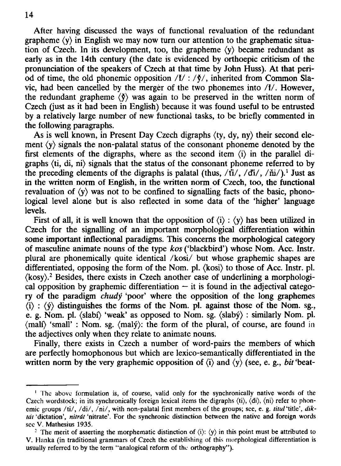After having discussed the ways of functional revaluation of the redundant grapheme  $\langle v \rangle$  in English we may now turn our attention to the graphematic situation of Czech. In its development, too, the grapheme (y) became redundant as early as in the 14th century (the date is evidenced by orthoepic criticism of the pronunciation of the speakers of Czech at that time by John Huss). At that period of time, the old phonemic opposition  $/\check{t}/$ :  $/\check{\tau}/$ , inherited from Common Slavic, had been cancelled by the merger of the two phonemes into /I/. However, the redundant grapheme  $\langle \phi \rangle$  was again to be preserved in the written norm of Czech (just as it had been in English) because it was found useful to be entrusted by a relatively large number of new functional tasks, to be briefly commented in the following paragraphs.

As is well known, in Present Day Czech digraphs (ty, dy, ny) their second element  $\langle y \rangle$  signals the non-palatal status of the consonant phoneme denoted by the first elements of the digraphs, where as the second item (i) in the parallel digraphs (ti, di, ni) signals that the status of the consonant phoneme referred to by the preceding elements of the digraphs is palatal (thus,  $/\text{ti}/$ ,  $/\text{di}/$ ,  $/\text{hi}/$ ).<sup>1</sup> Just as in the written norm of English, in the written norm of Czech, too, the functional revaluation of  $\langle y \rangle$  was not to be confined to signalling facts of the basic, phonological level alone but is also reflected in some data of the 'higher' language levels.

First of all, it is well known that the opposition of  $(i)$ :  $\langle y \rangle$  has been utilized in Czech for the signalling of an important morphological differentiation within some important inflectional paradigms. This concerns the morphological category of masculine animate nouns of the type *kos* ('blackbird') whose Nom. Acc. Instr. plural are phonemically quite identical /kosi/ but whose graphemic shapes are differentiated, opposing the form of the Nom. pi. (kosi) to those of Acc. Instr. pi. (kosy).<sup>2</sup> Besides, there exists in Czech another case of underlining a morphological opposition by graphemic differentiation  $-$  it is found in the adjectival category of the paradigm *chudy* 'poor' where the opposition of the long graphemes  $\langle i \rangle$ :  $\langle \hat{v} \rangle$  distinguishes the forms of the Nom. pl. against those of the Nom. sg., e. g. Nom. pl. (slabí) 'weak' as opposed to Nom. sg. (slabý) : similarly Nom. pl. (mail) 'small' : Nom. sg. (maly): the form of the plural, of course, are found in the adjectives only when they relate to animate nouns.

Finally, there exists in Czech a number of word-pairs the members of which are perfectly homophonous but which are lexico-semantically differentiated in the written norm by the very graphemic opposition of (i) and (y) (see, e. g., *bit* 'beat-

<sup>&</sup>lt;sup>1</sup> The above formulation is, of course, valid only for the synchronically native words of the **Czech wordstock; in its synchronically foreign lexical items the digraphs (ti), (di), (ni) refer to phonemic groups /ti/, /di/, /ni/, with non-palatal first members of the groups; see, e. g.** *titul* **'title',** *diktat* **'dictation',** *nitrdt* **'nitrate'. For the synchronic distinction between the native and foreign words sec V. Mathesius 1935.** 

<sup>&</sup>lt;sup>2</sup> The merit of asserting the morphematic distinction of  $\langle i \rangle$ :  $\langle y \rangle$  in this point must be attributed to **V. Hanka (in traditional grammars of Czech the establishing of this morphological differentiation is usually referred to by the term "analogical reform of the orthography").**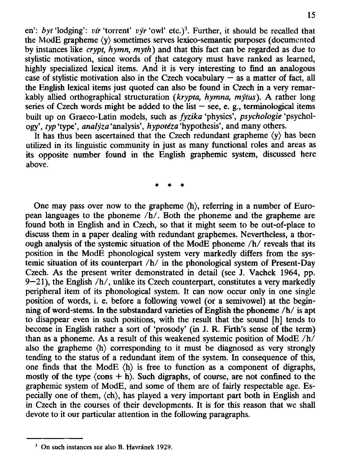en': *byt* 'lodging': *vir* 'torrent' *výr* 'owl' etc.)<sup>3</sup>. Further, it should be recalled that the ModE grapheme (y) sometimes serves lexico-semantic purposes (documented by instances like *crypt, hymn, myth)* and that this fact can be regarded as due to stylistic motivation, since words of that category must have ranked as learned, highly specialized lexical items. And it is very interesting to find an analogous case of stylistic motivation also in the Czech vocabulary  $-$  as a matter of fact, all the English lexical items just quoted can also be found in Czech in a very remarkably allied orthographical structuration *(krypta, hymna, mytus).* A rather long series of Czech words might be added to the list  $-$  see, e. g., terminological items built up on Graeco-Latin models, such as *fyzika* 'physics', *psychologie* 'psychology', *typ* 'type', *analyza* 'analysis', *hypotiza* 'hypothesis', and many others.

It has thus been ascertained that the Czech redundant grapheme (y) has been utilized in its linguistic community in just as many functional roles and areas as its opposite number found in the English graphemic system, discussed here above.

**\* \* \*** 

One may pass over now to the grapheme (h), referring in a number of European languages to the phoneme  $/h/$ . Both the phoneme and the grapheme are found both in English and in Czech, so that it might seem to be out-of-place to discuss them in a paper dealing with redundant graphemes. Nevertheless, a thorough analysis of the systemic situation of the ModE phoneme  $/h/$  reveals that its position in the ModE phonological system very markedly differs from the systemic situation of its counterpart  $/h/$  in the phonological system of Present-Day Czech. As the present writer demonstrated in detail (see J. Vachek 1964, pp.  $9-21$ ), the English  $/h/$ , unlike its Czech counterpart, constitutes a very markedly peripheral item of its phonological system. It can now occur only in one single position of words, i. e. before a following vowel (or a semivowel) at the beginning of word-stems. In the substandard varieties of English the phoneme  $/h/$  is apt to disappear even in such positions, with the result that the sound [h] tends to become in English rather a sort of 'prosody' (in J. R. Firth's sense of the term) than as a phoneme. As a result of this weakened systemic position of ModE  $/h/$ also the grapheme (h) corresponding to it must be diagnosed as very strongly tending to the status of a redundant item of the system. In consequence of this, one finds that the ModE  $\langle h \rangle$  is free to function as a component of digraphs, mostly of the type  $\langle \cos + h \rangle$ . Such digraphs, of course, are not confined to the graphemic system of ModE, and some of them are of fairly respectable age. Especially one of them, (ch), has played a very important part both in English and in Czech in the courses of their developments. It is for this reason that we shall devote to it our particular attention in the following paragraphs.

**<sup>3</sup> On such instances see also B. Havr&nek 1929.**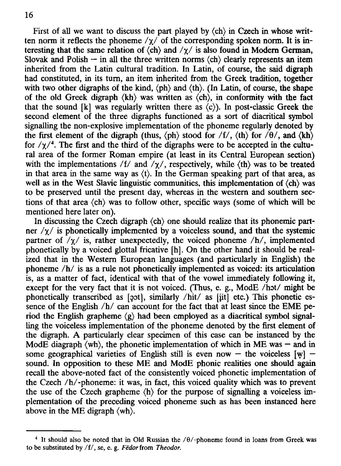First of all we want to discuss the part played by  $\langle ch \rangle$  in Czech in whose written norm it reflects the phoneme  $/\gamma$  of the corresponding spoken norm. It is interesting that the same relation of  $\langle ch \rangle$  and  $\gamma \gamma$  is also found in Modern German, Slovak and Polish — in all the three written norms  $\langle ch \rangle$  clearly represents an item inherited from the Latin cultural tradition. In Latin, of course, the said digraph had constituted, in its turn, an item inherited from the Greek tradition, together with two other digraphs of the kind,  $\langle ph \rangle$  and  $\langle th \rangle$ . (In Latin, of course, the shape of the old Greek digraph  $\langle kh \rangle$  was written as  $\langle ch \rangle$ , in conformity with the fact that the sound  $[k]$  was regularly written there as  $(c)$ ). In post-classic Greek the second element of the three digraphs functioned as a sort of diacritical symbol signalling the non-explosive implementation of the phoneme regularly denoted by the first element of the digraph (thus,  $\langle ph \rangle$  stood for  $/f$ ,  $\langle th \rangle$  for  $\langle \theta \rangle$ , and  $\langle kh \rangle$ for  $/\gamma$ <sup>4</sup>. The first and the third of the digraphs were to be accepted in the cultural area of the former Roman empire (at least in its Central European section) with the implementations /f/ and  $/\gamma$ /, respectively, while  $\langle$ th) was to be treated in that area in the same way as  $(t)$ . In the German speaking part of that area, as well as in the West Slavic linguistic communities, this implementation of  $\langle ch \rangle$  was to be preserved until the present day, whereas in the western and southern sections of that area (ch) was to follow other, specific ways (some of which will be mentioned here later on).

In discussing the Czech digraph  $\langle ch \rangle$  one should realize that its phonemic partner  $/\gamma$  is phonetically implemented by a voiceless sound, and that the systemic partner of  $/\gamma$  is, rather unexpectedly, the voiced phoneme  $/h/$ , implemented phonetically by a voiced glottal fricative [h]. On the other hand it should be realized that in the Western European languages (and particularly in English) the phoneme  $/h/$  is as a rule not phonetically implemented as voiced: its articulation is, as a matter of fact, identical with that of the vowel immediately following it, except for the very fact that it is not voiced. (Thus, e. g., ModE /hot/ might be phonetically transcribed as [20t], similarly /hit/ as [iit] etc.) This phonetic essence of the English /h/ can account for the fact that at least since the EME period the English grapheme  $\langle g \rangle$  had been employed as a diacritical symbol signalling the voiceless implementation of the phoneme denoted by the first element of the digraph. A particularly clear specimen of this case can be instanced by the ModE diagraph  $\langle$ wh $\rangle$ , the phonetic implementation of which in ME was – and in some geographical varieties of English still is even now  $-$  the voiceless  $[w]$  – sound. In opposition to these ME and ModE phonic realities one should again recall the above-noted fact of the consistently voiced phonetic implementation of the Czech /h/-phoneme: it was, in fact, this voiced quality which was to prevent the use of the Czech grapheme (h) for the purpose of signalling a voiceless implementation of the preceding voiced phoneme such as has been instanced here above in the ME digraph  $\langle \text{wh} \rangle$ .

**<sup>4</sup> It should also be noted that in Old Russian the /6/-phoneme found in loans from Greek was to be substituted by** */if,* **se, e. g.** *Fedor* **from** *Theodor.*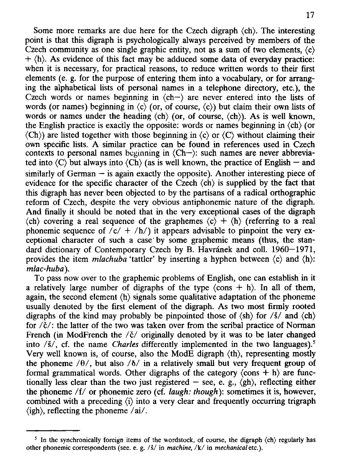Some more remarks are due here for the Czech digraph  $\langle ch \rangle$ . The interesting point is that this digraph is psychologically always perceived by members of the Czech community as one single graphic entity, not as a sum of two elements,  $\langle c \rangle$  $+$   $\langle h \rangle$ . As evidence of this fact may be adduced some data of everyday practice: when it is necessary, for practical reasons, to reduce written words to their first elements (e. g. for the purpose of entering them into a vocabulary, or for arranging the alphabetical lists of personal names in a telephone directory, etc.), the Czech words or names beginning in  $\langle ch - \rangle$  are never entered into the lists of words (or names) beginning in  $\langle c \rangle$  (or, of course,  $\langle c \rangle$ ) but claim their own lists of words or names under the heading  $\langle ch \rangle$  (or, of course,  $\langle ch \rangle$ ). As is well known, the English practice is exactly the opposite: words or names beginning in  $\langle ch \rangle$  (or  $\langle$ Ch)) are listed together with those beginning in  $\langle$ c $\rangle$  or  $\langle$ C $\rangle$  without claiming their own specific lists. A similar practice can be found in references used in Czech contexts to personal names beginning in (Ch—): such names are never abbreviated into  $\langle C \rangle$  but always into  $\langle Ch \rangle$  (as is well known, the practice of English – and similarly of German  $-$  is again exactly the opposite). Another interesting piece of evidence for the specific character of the Czech  $\langle ch \rangle$  is supplied by the fact that this digraph has never been objected to by the partisans of a radical orthographic reform of Czech, despite the very obvious antiphonemic nature of the digraph. And finally it should be noted that in the very exceptional cases of the digraph  $\langle ch \rangle$  covering a real sequence of the graphemes  $\langle c \rangle + \langle h \rangle$  (referring to a real phonemic sequence of  $\sqrt{c'} + \sqrt{h'}$  it appears advisable to pinpoint the very exceptional character of such a case by some graphemic means (thus, the standard dictionary of Contemporary Czech by B. Havránek and coll. 1960-1971, provides the item *mlachuba* 'tattler' by inserting a hyphen between (c) and (h): *mlac-huba).* 

To pass now over to the graphemic problems of English, one can establish in it a relatively large number of digraphs of the type  $\langle \text{cons} + \text{h} \rangle$ . In all of them, again, the second element (h) signals some qualitative adaptation of the phoneme usually denoted by the first element of the digraph. As two most firmly rooted digraphs of the kind may probably be pinpointed those of  $\langle sh \rangle$  for  $\langle \dot{s} \rangle$  and  $\langle ch \rangle$ for  $\ell \check{c}/$ : the latter of the two was taken over from the scribal practice of Norman French (in ModFrench the  $\ell \check{c}$  originally denoted by it was to be later changed into /§/, cf. the name *Charles* differently implemented in the two languages).<sup>5</sup> Very well known is, of course, also the ModE digraph (th), representing mostly the phoneme  $/0/$ , but also  $/0/$  in a relatively small but very frequent group of formal grammatical words. Other digraphs of the category  $\langle \cos + h \rangle$  are functionally less clear than the two just registered  $-$  see, e. g.,  $\langle gh \rangle$ , reflecting either the phoneme /f/ or phonemic zero (cf. *laugh: though):* sometimes it is, however, combined with a preceding (i) into a very clear and frequently occurring trigraph (igh), reflecting the phoneme /ai/.

**<sup>5</sup> In the synchronically foreign items of the wordstock, of course, the digraph (ch) regularly has other phonemic correspondents (see. e. g. /s/ in** *machine,* **/k/ in** *mechanical* **etc.).**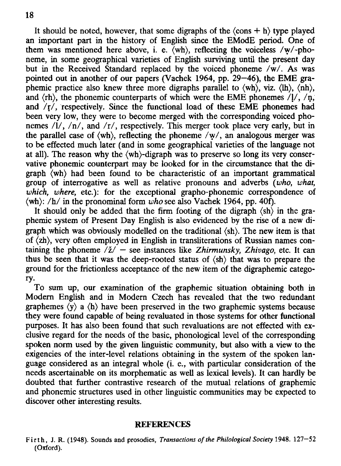It should be noted, however, that some digraphs of the  $\langle \text{cons} + \text{h} \rangle$  type played an important part in the history of English since the EModE period. One of them was mentioned here above, i. e. (wh), reflecting the voiceless /w/-phoneme, in some geographical varieties of English surviving until the present day but in the Received Standard replaced by the voiced phoneme /w/. As was pointed out in another of our papers (Vachek 1964, pp. 29–46), the EME graphemic practice also knew three more digraphs parallel to (wh), viz. (lh), (nh), and  $\langle rh \rangle$ , the phonemic counterparts of which were the EME phonemes  $\langle l \rangle$ ,  $\langle n$ , and  $/r/$ , respectively. Since the functional load of these EME phonemes had been very low, they were to become merged with the corresponding voiced phonemes /l/, /n/, and /r/, respectively. This merger took place very early, but in the parallel case of  $\langle \text{wh} \rangle$ , reflecting the phoneme  $\langle \text{w}/\rangle$ , an analogous merger was to be effected much later (and in some geographical varieties of the language not at all). The reason why the (wh)-digraph was to preserve so long its very conservative phonemic counterpart may be looked for in the circumstance that the digraph (wh) had been found to be characteristic of an important grammatical group of interrogative as well as relative pronouns and adverbs *{who, what, which, where,* etc.): for the exceptional grapho-phonemic correspondence of (wh): /h/ in the pronominal form *who* see also Vachek 1964, pp. 40f).

It should only be added that the firm footing of the digraph  $\langle sh \rangle$  in the graphemic system of Present Day English is also evidenced by the rise of a new digraph which was obviously modelled on the traditional  $\langle sh \rangle$ . The new item is that of (zh), very often employed in English in transliterations of Russian names containing the phoneme  $\overrightarrow{z}$  – see instances like *Zhirmunsky*, *Zhivago*, etc. It can thus be seen that it was the deep-rooted status of  $\langle sh \rangle$  that was to prepare the ground for the frictionless acceptance of the new item of the digraphemic category-

To sum up, our examination of the graphemic situation obtaining both in Modern English and in Modern Czech has revealed that the two redundant graphemes  $\langle y \rangle$  a  $\langle h \rangle$  have been preserved in the two graphemic systems because they were found capable of being revaluated in those systems for other functional purposes. It has also been found that such revaluations are not effected with exclusive regard for the needs of the basic, phonological level of the corresponding spoken norm used by the given linguistic community, but also with a view to the exigencies of the inter-level relations obtaining in the system of the spoken language considered as an integral whole (i. e., with particular consideration of the needs ascertainable on its morphematic as well as lexical levels). It can hardly be doubted that further contrastive research of the mutual relations of graphemic and phonemic structures used in other linguistic communities may be expected to discover other interesting results.

#### REFERENCES

**Firth, J. R. (1948). Sounds and prosodies,** *Transactions of the Philological Society* **1948. 127-52 (Oxford).**